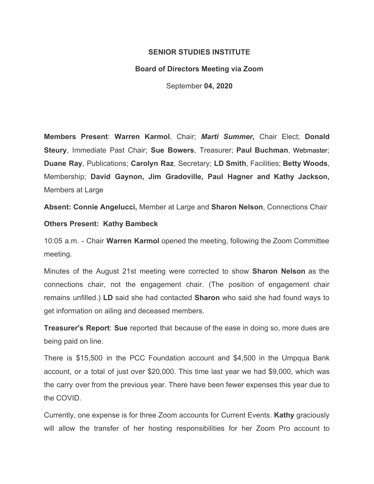## **SENIOR STUDIES INSTITUTE**

## **Board of Directors Meeting via Zoom**

September **04, 2020**

**Members Present**: **Warren Karmol**, Chair; *Marti Summer,* Chair Elect; **Donald Steury**, Immediate Past Chair; **Sue Bowers**, Treasurer; **Paul Buchman**, Webmaster; **Duane Ray**, Publications; **Carolyn Raz**, Secretary; **LD Smith**, Facilities; **Betty Woods**, Membership; **David Gaynon, Jim Gradoville, Paul Hagner and Kathy Jackson,** Members at Large

**Absent: Connie Angelucci,** Member at Large and **Sharon Nelson**, Connections Chair

## **Others Present: Kathy Bambeck**

10:05 a.m. - Chair **Warren Karmol** opened the meeting, following the Zoom Committee meeting.

Minutes of the August 21st meeting were corrected to show **Sharon Nelson** as the connections chair, not the engagement chair. (The position of engagement chair remains unfilled.) **LD** said she had contacted **Sharon** who said she had found ways to get information on ailing and deceased members.

**Treasurer's Report**: **Sue** reported that because of the ease in doing so, more dues are being paid on line.

There is \$15,500 in the PCC Foundation account and \$4,500 in the Umpqua Bank account, or a total of just over \$20,000. This time last year we had \$9,000, which was the carry over from the previous year. There have been fewer expenses this year due to the COVID.

Currently, one expense is for three Zoom accounts for Current Events. **Kathy** graciously will allow the transfer of her hosting responsibilities for her Zoom Pro account to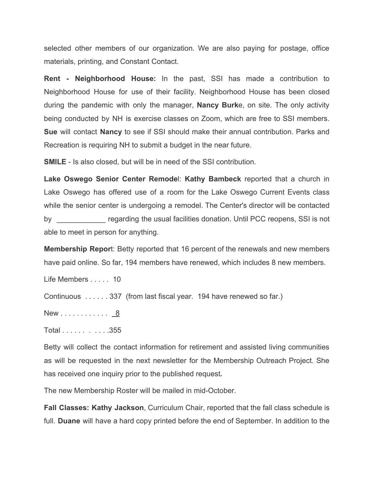selected other members of our organization*.* We are also paying for postage, office materials, printing, and Constant Contact.

**Rent - Neighborhood House:** In the past, SSI has made a contribution to Neighborhood House for use of their facility. Neighborhood House has been closed during the pandemic with only the manager, **Nancy Burk**e, on site. The only activity being conducted by NH is exercise classes on Zoom, which are free to SSI members. **Sue** will contact **Nancy** to see if SSI should make their annual contribution. Parks and Recreation is requiring NH to submit a budget in the near future.

**SMILE** - Is also closed, but will be in need of the SSI contribution.

**Lake Oswego Senior Center Remode**l: **Kathy Bambeck** reported that a church in Lake Oswego has offered use of a room for the Lake Oswego Current Events class while the senior center is undergoing a remodel. The Center's director will be contacted by regarding the usual facilities donation. Until PCC reopens, SSI is not able to meet in person for anything.

**Membership Repor**t: Betty reported that 16 percent of the renewals and new members have paid online. So far, 194 members have renewed, which includes 8 new members.

Life Members . . . . . 10

Continuous . . . . . . 337 (from last fiscal year. 194 have renewed so far.)

New . . . . . . . . . . . . 8

Total . . . . . . . . . . .355

Betty will collect the contact information for retirement and assisted living communities as will be requested in the next newsletter for the Membership Outreach Project. She has received one inquiry prior to the published request*.*

The new Membership Roster will be mailed in mid-October.

**Fall Classes: Kathy Jackson**, Curriculum Chair, reported that the fall class schedule is full. **Duane** will have a hard copy printed before the end of September. In addition to the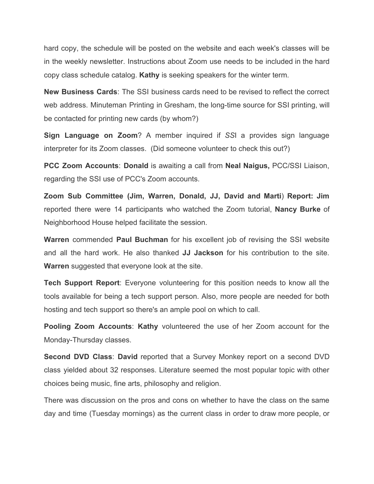hard copy, the schedule will be posted on the website and each week's classes will be in the weekly newsletter. Instructions about Zoom use needs to be included in the hard copy class schedule catalog. **Kathy** is seeking speakers for the winter term.

**New Business Cards**: The SSI business cards need to be revised to reflect the correct web address. Minuteman Printing in Gresham, the long-time source for SSI printing, will be contacted for printing new cards (by whom?)

**Sign Language on Zoom**? A member inquired if *SS*I a provides sign language interpreter for its Zoom classes. (Did someone volunteer to check this out?)

**PCC Zoom Accounts**: **Donald** is awaiting a call from **Neal Naigus,** PCC/SSI Liaison, regarding the SSI use of PCC's Zoom accounts.

**Zoom Sub Committee (Jim, Warren, Donald, JJ, David and Marti**) **Report: Jim** reported there were 14 participants who watched the Zoom tutorial, **Nancy Burke** of Neighborhood House helped facilitate the session.

**Warren** commended **Paul Buchman** for his excellent job of revising the SSI website and all the hard work. He also thanked **JJ Jackson** for his contribution to the site. **Warren** suggested that everyone look at the site.

**Tech Support Report**: Everyone volunteering for this position needs to know all the tools available for being a tech support person. Also, more people are needed for both hosting and tech support so there's an ample pool on which to call.

**Pooling Zoom Accounts**: **Kathy** volunteered the use of her Zoom account for the Monday-Thursday classes.

**Second DVD Class**: **David** reported that a Survey Monkey report on a second DVD class yielded about 32 responses. Literature seemed the most popular topic with other choices being music, fine arts, philosophy and religion.

There was discussion on the pros and cons on whether to have the class on the same day and time (Tuesday mornings) as the current class in order to draw more people, or